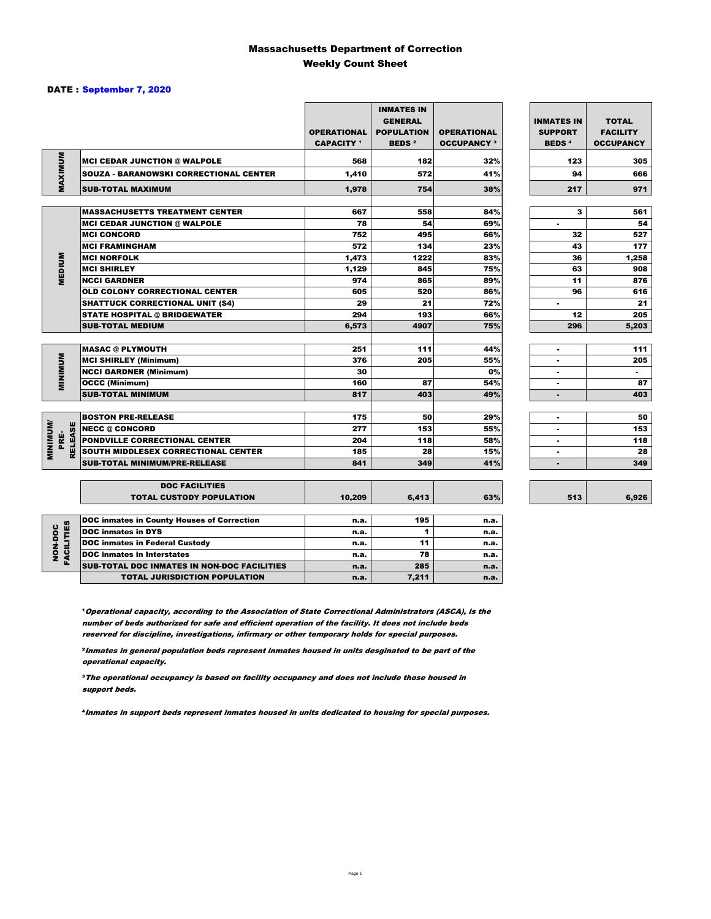### Massachusetts Department of Correction Weekly Count Sheet

### DATE : September 7, 2020

|                   |                                                          | <b>OPERATIONAL</b><br><b>CAPACITY</b> 1 | <b>INMATES IN</b><br><b>GENERAL</b><br><b>POPULATION</b><br><b>BEDS<sup>2</sup></b> | <b>OPERATIONAL</b><br><b>OCCUPANCY 3</b> | <b>INMATES IN</b><br><b>SUPPORT</b><br><b>BEDS<sup>4</sup></b> | <b>TOTAL</b><br><b>FACILITY</b><br><b>OCCUPANCY</b> |
|-------------------|----------------------------------------------------------|-----------------------------------------|-------------------------------------------------------------------------------------|------------------------------------------|----------------------------------------------------------------|-----------------------------------------------------|
|                   | <b>MCI CEDAR JUNCTION @ WALPOLE</b>                      | 568                                     | 182                                                                                 | 32%                                      | 123                                                            | 305                                                 |
|                   | <b>SOUZA - BARANOWSKI CORRECTIONAL CENTER</b>            | 1,410                                   | 572                                                                                 | 41%                                      | 94                                                             | 666                                                 |
| MAXIMUM           | <b>SUB-TOTAL MAXIMUM</b>                                 | 1,978                                   | 754                                                                                 | 38%                                      | 217                                                            | 971                                                 |
|                   |                                                          |                                         |                                                                                     |                                          |                                                                |                                                     |
|                   | <b>MASSACHUSETTS TREATMENT CENTER</b>                    | 667                                     | 558                                                                                 | 84%                                      | 3                                                              | 561                                                 |
|                   | <b>MCI CEDAR JUNCTION @ WALPOLE</b>                      | 78                                      | 54                                                                                  | 69%                                      | ٠                                                              | 54                                                  |
|                   | <b>MCI CONCORD</b>                                       | 752                                     | 495                                                                                 | 66%                                      | 32                                                             | 527                                                 |
|                   | <b>MCI FRAMINGHAM</b>                                    | 572                                     | 134                                                                                 | 23%                                      | 43                                                             | 177                                                 |
|                   | <b>MCI NORFOLK</b>                                       | 1,473                                   | 1222                                                                                | 83%                                      | 36                                                             | 1,258                                               |
| <b>MEDIUM</b>     | <b>MCI SHIRLEY</b>                                       | 1,129                                   | 845                                                                                 | 75%                                      | 63                                                             | 908                                                 |
|                   | <b>NCCI GARDNER</b>                                      | 974                                     | 865                                                                                 | 89%                                      | 11                                                             | 876                                                 |
|                   | <b>OLD COLONY CORRECTIONAL CENTER</b>                    | 605                                     | 520                                                                                 | 86%                                      | 96                                                             | 616                                                 |
|                   | <b>SHATTUCK CORRECTIONAL UNIT (S4)</b>                   | 29                                      | 21                                                                                  | 72%                                      | ٠                                                              | 21                                                  |
|                   | <b>STATE HOSPITAL @ BRIDGEWATER</b>                      | 294                                     | 193                                                                                 | 66%                                      | 12                                                             | 205                                                 |
|                   | <b>SUB-TOTAL MEDIUM</b>                                  | 6,573                                   | 4907                                                                                | 75%                                      | 296                                                            | 5,203                                               |
|                   |                                                          |                                         |                                                                                     |                                          |                                                                |                                                     |
|                   | <b>MASAC @ PLYMOUTH</b>                                  | 251                                     | 111                                                                                 | 44%                                      | ٠                                                              | 111                                                 |
| <b>MINIMUM</b>    | <b>MCI SHIRLEY (Minimum)</b>                             | 376                                     | 205                                                                                 | 55%                                      |                                                                | 205                                                 |
|                   | <b>NCCI GARDNER (Minimum)</b>                            | 30                                      |                                                                                     | 0%                                       | ٠                                                              | $\blacksquare$                                      |
|                   | <b>OCCC (Minimum)</b>                                    | 160                                     | 87                                                                                  | 54%                                      | ٠                                                              | 87                                                  |
|                   | <b>SUB-TOTAL MINIMUM</b>                                 | 817                                     | 403                                                                                 | 49%                                      | $\overline{\phantom{a}}$                                       | 403                                                 |
|                   |                                                          |                                         |                                                                                     |                                          |                                                                |                                                     |
|                   | <b>BOSTON PRE-RELEASE</b>                                | 175                                     | 50                                                                                  | 29%                                      | $\blacksquare$                                                 | 50                                                  |
| <b>RELEASE</b>    | <b>INECC @ CONCORD</b>                                   | 277                                     | 153                                                                                 | 55%                                      |                                                                | 153                                                 |
| PRÉ-              | PONDVILLE CORRECTIONAL CENTER                            | 204                                     | 118                                                                                 | 58%                                      | ×                                                              | 118                                                 |
| <b>MINIMINUM/</b> | SOUTH MIDDLESEX CORRECTIONAL CENTER                      | 185                                     | 28                                                                                  | 15%                                      | ٠                                                              | 28                                                  |
|                   | <b>SUB-TOTAL MINIMUM/PRE-RELEASE</b>                     | 841                                     | 349                                                                                 | 41%                                      |                                                                | 349                                                 |
|                   |                                                          |                                         |                                                                                     |                                          |                                                                |                                                     |
|                   | <b>DOC FACILITIES</b><br><b>TOTAL CUSTODY POPULATION</b> | 10,209                                  | 6.413                                                                               | 63%                                      | 513                                                            | 6,926                                               |
|                   |                                                          |                                         |                                                                                     |                                          |                                                                |                                                     |
|                   | <b>DOC inmates in County Houses of Correction</b>        | n.a.                                    | 195                                                                                 | n.a.                                     |                                                                |                                                     |
| <b>FACILITIES</b> | <b>DOC</b> inmates in DYS                                | n.a.                                    | 1                                                                                   | n.a.                                     |                                                                |                                                     |
|                   | <b>DOC inmates in Federal Custody</b>                    | n.a.                                    | 11                                                                                  | n.a.                                     |                                                                |                                                     |
| NON-DOC           | <b>DOC</b> inmates in Interstates                        | n.a.                                    | 78                                                                                  | n.a.                                     |                                                                |                                                     |
|                   | CUR TOTAL BOO INIMETED IN NON-BOO FACULTIES              |                                         | $\sim$                                                                              |                                          |                                                                |                                                     |

**Operational capacity, according to the Association of State Correctional Administrators (ASCA), is the** number of beds authorized for safe and efficient operation of the facility. It does not include beds reserved for discipline, investigations, infirmary or other temporary holds for special purposes.

SUB-TOTAL DOC INMATES IN NON-DOC FACILITIES n.a. 285 n.a. 285

TOTAL JURISDICTION POPULATION **n.a.** 7,211 n.a.

²Inmates in general population beds represent inmates housed in units desginated to be part of the operational capacity.

³The operational occupancy is based on facility occupancy and does not include those housed in support beds.

⁴Inmates in support beds represent inmates housed in units dedicated to housing for special purposes.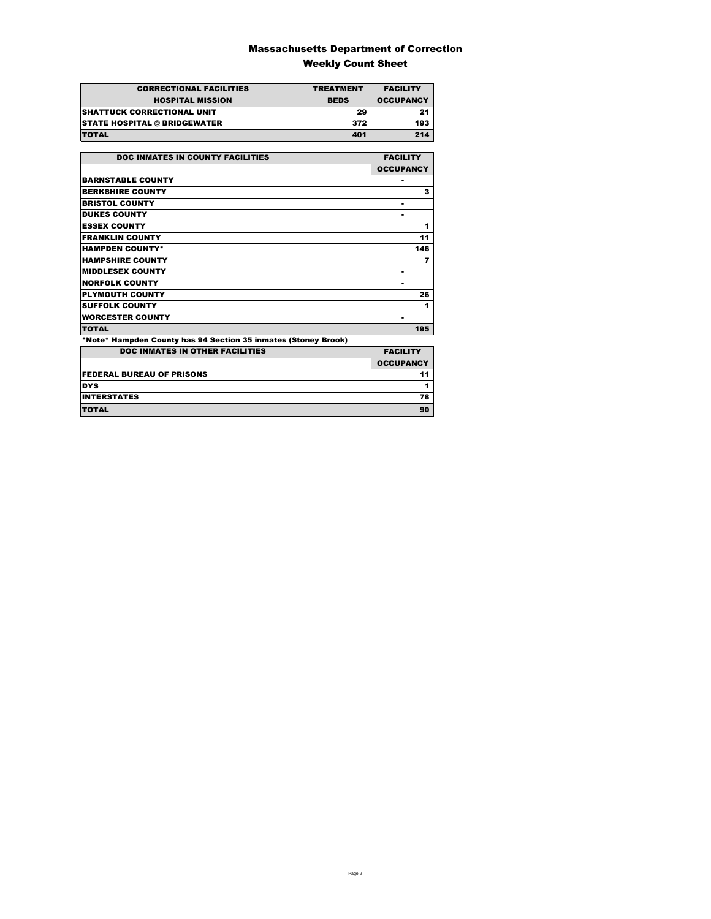### Massachusetts Department of Correction Weekly Count Sheet

| <b>CORRECTIONAL FACILITIES</b>      | <b>TREATMENT</b> | <b>FACILITY</b>  |
|-------------------------------------|------------------|------------------|
| <b>HOSPITAL MISSION</b>             | <b>BEDS</b>      | <b>OCCUPANCY</b> |
| <b>SHATTUCK CORRECTIONAL UNIT</b>   | 29               | 21               |
| <b>STATE HOSPITAL @ BRIDGEWATER</b> | 372              | 193              |
| <b>TOTAL</b>                        | 401              | 214              |

| <b>DOC INMATES IN COUNTY FACILITIES</b>                        | <b>FACILITY</b>  |
|----------------------------------------------------------------|------------------|
|                                                                | <b>OCCUPANCY</b> |
| <b>BARNSTABLE COUNTY</b>                                       |                  |
| <b>BERKSHIRE COUNTY</b>                                        | 3                |
| <b>BRISTOL COUNTY</b>                                          |                  |
| <b>DUKES COUNTY</b>                                            |                  |
| <b>ESSEX COUNTY</b>                                            | 1                |
| <b>FRANKLIN COUNTY</b>                                         | 11               |
| <b>HAMPDEN COUNTY*</b>                                         | 146              |
| <b>HAMPSHIRE COUNTY</b>                                        | 7                |
| <b>MIDDLESEX COUNTY</b>                                        | ٠                |
| <b>NORFOLK COUNTY</b>                                          |                  |
| <b>PLYMOUTH COUNTY</b>                                         | 26               |
| <b>SUFFOLK COUNTY</b>                                          | 1                |
| <b>WORCESTER COUNTY</b>                                        |                  |
| <b>TOTAL</b>                                                   | 195              |
| *Note* Hampden County has 94 Section 35 inmates (Stoney Brook) |                  |
| <b>DOC INMATES IN OTHER FACILITIES</b>                         | <b>FACILITY</b>  |
|                                                                | <b>OCCUPANCY</b> |
| <b>FEDERAL BUREAU OF PRISONS</b>                               | 11               |
| <b>DYS</b>                                                     | 1                |
| <b>INTERSTATES</b>                                             | 78               |
| <b>TOTAL</b>                                                   | 90               |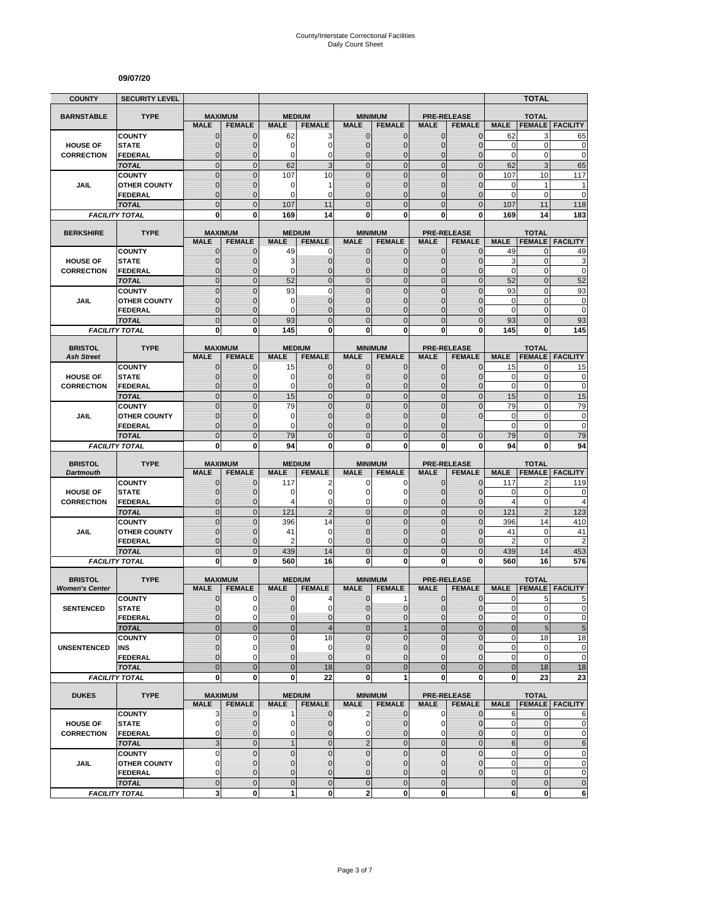#### **09/07/20**

| <b>COUNTY</b>                       | <b>SECURITY LEVEL</b>                 |                                  |                                  |                         |                                 |                               |                                  |                              |                                     |                            | <b>TOTAL</b>                   |                            |
|-------------------------------------|---------------------------------------|----------------------------------|----------------------------------|-------------------------|---------------------------------|-------------------------------|----------------------------------|------------------------------|-------------------------------------|----------------------------|--------------------------------|----------------------------|
| <b>BARNSTABLE</b>                   | <b>TYPE</b>                           | <b>MAXIMUM</b>                   |                                  |                         | <b>MEDIUM</b>                   |                               | <b>MINIMUM</b>                   |                              | <b>PRE-RELEASE</b>                  |                            | <b>TOTAL</b>                   |                            |
|                                     |                                       | <b>MALE</b>                      | <b>FEMALE</b>                    | <b>MALE</b>             | <b>FEMALE</b>                   | <b>MALE</b>                   | <b>FEMALE</b>                    | <b>MALE</b>                  | <b>FEMALE</b>                       | <b>MALE</b>                | <b>FEMALE</b>                  | <b>FACILITY</b>            |
|                                     | <b>COUNTY</b>                         | $\mathbf{0}$                     | $\mathbf{0}$                     | 62                      | 3                               | $\mathbf{0}$                  | 0                                | $\mathbf{0}$                 | $\overline{0}$                      | 62                         | 3                              | 65                         |
| <b>HOUSE OF</b>                     | <b>STATE</b>                          | $\overline{0}$<br>0              | $\mathbf 0$                      | 0<br>0                  | $\mathbf 0$                     | $\overline{0}$                | $\overline{0}$                   | $\mathbf 0$                  | $\overline{0}$<br>0                 | $\mathbf 0$<br>$\mathbf 0$ | 0<br>0                         | $\mathbf 0$<br>$\mathbf 0$ |
| <b>CORRECTION</b>                   | <b>FEDERAL</b><br><b>TOTAL</b>        | $\overline{0}$                   | 0<br>$\mathbf{0}$                | 62                      | 0<br>3                          | 0<br>$\mathbf 0$              | $\mathbf 0$<br>$\mathbf 0$       | $\mathbf 0$<br>$\mathbf{0}$  | $\mathbf 0$                         | 62                         | 3                              | 65                         |
|                                     | <b>COUNTY</b>                         | $\overline{0}$                   | $\overline{0}$                   | 107                     | 10                              | $\Omega$                      | $\mathbf 0$                      | $\mathbf{0}$                 | $\overline{0}$                      | 107                        | 10                             | 117                        |
| JAIL                                | <b>OTHER COUNTY</b>                   | $\mathbf{0}$                     | 0                                | 0                       | 1                               | $\overline{0}$                | $\overline{0}$                   | $\Omega$                     | $\overline{0}$                      | 0                          | $\mathbf{1}$                   | 1                          |
|                                     | FEDERAL                               | $\mathbf 0$                      | $\mathbf 0$                      | $\Omega$                | $\Omega$                        | $\Omega$                      | $\mathbf 0$                      | $\Omega$                     | $\mathbf{0}$                        | $\mathbf 0$                | $\mathbf 0$                    | $\mathbf 0$                |
|                                     | <b>TOTAL</b>                          | $\overline{0}$                   | $\Omega$                         | 107                     | 11                              | $\Omega$                      | $\overline{0}$                   | $\Omega$                     | $\overline{0}$                      | 107                        | 11                             | 118                        |
|                                     | <b>FACILITY TOTAL</b>                 | $\bf{0}$                         | $\bf{0}$                         | 169                     | 14                              | 0                             | 0                                | 0                            | 0                                   | 169                        | 14                             | 183                        |
| <b>BERKSHIRE</b>                    | <b>TYPE</b>                           |                                  | <b>MAXIMUM</b>                   |                         | <b>MEDIUM</b>                   |                               | <b>MINIMUM</b>                   |                              | <b>PRE-RELEASE</b>                  |                            | <b>TOTAL</b>                   |                            |
|                                     |                                       | <b>MALE</b>                      | <b>FEMALE</b>                    | <b>MALE</b>             | <b>FEMALE</b>                   | <b>MALE</b>                   | <b>FEMALE</b>                    | <b>MALE</b>                  | <b>FEMALE</b>                       | <b>MALE</b>                | <b>FEMALE</b>                  | <b>FACILITY</b>            |
|                                     | <b>COUNTY</b>                         | 0                                | $\mathbf 0$                      | 49                      | 0                               | 0                             | $\mathbf{0}$                     | $\mathbf{0}$                 | $\mathbf 0$                         | 49                         | 0                              | 49                         |
| <b>HOUSE OF</b>                     | <b>STATE</b>                          | $\mathbf{0}$                     | $\mathbf 0$                      | 3                       | $\mathbf 0$                     | $\mathbf{0}$                  | $\mathbf 0$                      | $\mathbf{0}$                 | $\overline{0}$                      | 3                          | 0                              | 3                          |
| <b>CORRECTION</b>                   | <b>FEDERAL</b>                        | $\overline{0}$                   | $\mathbf 0$                      | 0                       | $\mathbf 0$                     | 0                             | $\overline{0}$                   | $\mathbf{0}$                 | $\overline{0}$                      | $\mathbf 0$                | $\mathbf 0$                    | $\mathbf 0$                |
|                                     | <b>TOTAL</b><br><b>COUNTY</b>         | $\overline{0}$<br>$\overline{0}$ | $\overline{0}$<br>$\overline{0}$ | 52<br>93                | $\mathbf 0$<br>$\mathbf 0$      | $\mathbf 0$<br>$\mathbf 0$    | $\overline{0}$<br>$\overline{0}$ | $\mathbf{0}$<br>$\mathbf{0}$ | $\overline{0}$<br>$\mathbf 0$       | 52<br>93                   | $\overline{0}$<br>$\mathbf{0}$ | 52<br>93                   |
| <b>JAIL</b>                         | <b>OTHER COUNTY</b>                   | $\mathbf{0}$                     | $\mathbf 0$                      | 0                       | $\mathbf{0}$                    | $\mathbf{0}$                  | $\overline{0}$                   | $\Omega$                     | $\mathbf 0$                         | 0                          | $\mathbf{0}$                   | $\pmb{0}$                  |
|                                     | <b>FEDERAL</b>                        | $\mathbf 0$                      | $\mathbf 0$                      | 0                       | $\mathbf{0}$                    | $\mathbf{0}$                  | $\mathbf 0$                      | $\mathbf{0}$                 | $\overline{0}$                      | $\mathbf 0$                | $\mathbf{0}$                   | $\mathbf 0$                |
|                                     | <b>TOTAL</b>                          | $\mathbf 0$                      | $\overline{0}$                   | 93                      | $\mathbf 0$                     | $\overline{0}$                | $\mathbf 0$                      | $\mathbf{0}$                 | $\mathbf 0$                         | 93                         | $\overline{0}$                 | 93                         |
|                                     | <b>FACILITY TOTAL</b>                 | 0                                | 0                                | 145                     | 0                               | $\mathbf{0}$                  | 0                                | $\bf{0}$                     | 0                                   | 145                        | 0                              | 145                        |
|                                     |                                       |                                  |                                  |                         |                                 |                               |                                  |                              |                                     |                            |                                |                            |
| <b>BRISTOL</b><br><b>Ash Street</b> | <b>TYPE</b>                           | <b>MAXIMUM</b><br><b>MALE</b>    | <b>FEMALE</b>                    | <b>MALE</b>             | <b>MEDIUM</b><br><b>FEMALE</b>  | <b>MALE</b>                   | <b>MINIMUM</b><br><b>FEMALE</b>  | <b>MALE</b>                  | <b>PRE-RELEASE</b><br><b>FEMALE</b> | <b>MALE</b>                | <b>TOTAL</b>                   | <b>FEMALE FACILITY</b>     |
|                                     | <b>COUNTY</b>                         | $\mathbf 0$                      | $\mathbf 0$                      | 15                      | $\mathbf{0}$                    | $\mathbf{0}$                  | 0                                | $\mathbf{0}$                 | 0                                   | 15                         | 0                              | 15                         |
| <b>HOUSE OF</b>                     | <b>STATE</b>                          | $\overline{0}$                   | $\mathbf 0$                      | 0                       | $\mathbf{0}$                    | $\Omega$                      | $\mathbf{0}$                     | $\mathbf{0}$                 | $\overline{0}$                      | 0                          | 0                              | $\pmb{0}$                  |
| <b>CORRECTION</b>                   | <b>FEDERAL</b>                        | $\mathbf{0}$                     | $\mathbf 0$                      | $\Omega$                | $\mathbf 0$                     | $\Omega$                      | $\mathbf 0$                      | $\mathbf{0}$                 | $\overline{0}$                      | $\mathbf 0$                | $\mathbf{0}$                   | $\mathbf 0$                |
|                                     | <b>TOTAL</b>                          | $\overline{0}$                   | $\Omega$                         | 15                      | $\overline{0}$                  | $\overline{0}$                | $\overline{0}$                   | $\mathbf{0}$                 | $\overline{0}$                      | 15                         | $\overline{0}$                 | 15                         |
|                                     | <b>COUNTY</b>                         | $\overline{0}$                   | $\Omega$                         | 79                      | $\overline{0}$                  | $\overline{0}$                | $\overline{0}$                   | $\Omega$                     | 0                                   | 79                         | $\overline{0}$                 | 79                         |
| JAIL                                | <b>OTHER COUNTY</b>                   | $\mathbf 0$<br>$\overline{0}$    | $\mathbf 0$                      | $\mathbf 0$<br>$\Omega$ | $\mathbf 0$<br>$\overline{0}$   | $\mathbf{0}$<br>$\Omega$      | $\mathbf 0$                      | $\mathbf 0$<br>$\Omega$      | 0                                   | $\mathbf 0$<br>$\mathbf 0$ | $\mathbf{0}$                   | $\mathbf 0$<br>$\mathbf 0$ |
|                                     | <b>FEDERAL</b><br><b>TOTAL</b>        | $\overline{0}$                   | $\mathbf 0$<br>$\mathbf{0}$      | 79                      | $\mathbf 0$                     | $\mathbf{0}$                  | 0<br>$\overline{0}$              | $\Omega$                     | $\overline{0}$                      | 79                         | 0<br>$\overline{0}$            | 79                         |
|                                     | <b>FACILITY TOTAL</b>                 | 0                                | $\mathbf 0$                      | 94                      | 0                               | $\mathbf{0}$                  | 0                                | 0                            | 0                                   | 94                         | 0                              | 94                         |
|                                     |                                       |                                  |                                  |                         |                                 |                               |                                  |                              |                                     |                            |                                |                            |
| <b>BRISTOL</b>                      | <b>TYPE</b>                           | <b>MAXIMUM</b>                   |                                  |                         | <b>MEDIUM</b>                   |                               | <b>MINIMUM</b>                   |                              | <b>PRE-RELEASE</b>                  |                            | <b>TOTAL</b>                   |                            |
| <b>Dartmouth</b>                    | <b>COUNTY</b>                         | <b>MALE</b><br>$\mathbf 0$       | <b>FEMALE</b><br>$\mathbf 0$     | <b>MALE</b><br>117      | <b>FEMALE</b><br>$\overline{2}$ | <b>MALE</b><br>0              | <b>FEMALE</b><br>0               | <b>MALE</b><br>$\mathbf{0}$  | <b>FEMALE</b><br>$\overline{0}$     | <b>MALE</b><br>117         | <b>FEMALE</b><br>2             | <b>FACILITY</b><br>119     |
| <b>HOUSE OF</b>                     | <b>STATE</b>                          | $\overline{0}$                   | $\Omega$                         | 0                       | $\mathbf 0$                     | $\Omega$                      | 0                                | $\Omega$                     | $\mathbf 0$                         | 0                          | $\pmb{0}$                      | 0                          |
| <b>CORRECTION</b>                   | <b>FEDERAL</b>                        | $\overline{0}$                   | $\mathbf{0}$                     | 4                       | 0                               | 0                             | 0                                | $\mathbf{0}$                 | $\overline{0}$                      | $\overline{4}$             | $\mathbf 0$                    | $\overline{4}$             |
|                                     | <b>TOTAL</b>                          | $\overline{0}$                   | $\mathbf{0}$                     | 121                     | $\overline{2}$                  | $\overline{0}$                | $\mathbf 0$                      | $\mathbf{0}$                 | $\mathbf 0$                         | 121                        | $\overline{2}$                 | 123                        |
|                                     | <b>COUNTY</b>                         | $\mathbf 0$                      | $\mathbf{0}$                     | 396                     | 14                              | $\mathbf{0}$                  | $\mathbf 0$                      | $\mathbf{0}$                 | $\mathbf 0$                         | 396                        | 14                             | 410                        |
| JAIL                                | <b>OTHER COUNTY</b>                   | $\overline{0}$                   | $\mathbf 0$                      | 41                      | $\mathbf 0$                     | $\overline{0}$                | $\overline{0}$                   | $\Omega$                     | $\overline{0}$                      | 41                         | 0                              | 41                         |
|                                     | <b>FEDERAL</b>                        | $\mathbf 0$                      | $\mathbf 0$                      | 2                       | $\mathbf 0$                     | 0                             | $\mathbf 0$                      | $\mathbf{0}$                 | 0                                   | $\overline{2}$             | $\mathbf 0$                    | $\overline{2}$             |
|                                     | <b>TOTAL</b><br><b>FACILITY TOTAL</b> | $\mathbf 0$<br>O                 | $\overline{0}$<br>0              | 439<br>560              | 14<br>16                        | $\mathbf 0$<br>0              | $\mathbf 0$<br>$\bf{0}$          | $\mathbf{0}$<br>0            | $\mathbf 0$<br>0                    | 439<br>560                 | 14<br>16                       | 453<br>576                 |
|                                     |                                       |                                  |                                  |                         |                                 |                               |                                  |                              |                                     |                            |                                |                            |
| <b>BRISTOL</b>                      | <b>TYPE</b>                           | <b>MAXIMUM</b>                   |                                  |                         | <b>MEDIUM</b>                   |                               | <b>MINIMUM</b>                   |                              | <b>PRE-RELEASE</b>                  |                            | <b>TOTAL</b>                   |                            |
| <b>Women's Center</b>               |                                       | <b>MALE</b>                      | <b>FEMALE</b>                    | <b>MALE</b>             | <b>FEMALE</b>                   | <b>MALE</b>                   | <b>FEMALE</b>                    | <b>MALE</b>                  | <b>FEMALE</b>                       | <b>MALE</b>                | <b>FEMALE</b>                  | <b>FACILITY</b>            |
|                                     | <b>COUNTY</b>                         | $\mathbf 0$<br>$\overline{0}$    | 0<br>0                           | 0<br>$\overline{0}$     | 4<br>$\mathbf 0$                | $\mathbf 0$<br>$\Omega$       | 1<br>$\mathbf 0$                 | $\mathbf 0$                  | $\mathbf 0$<br>$\mathbf 0$          | 0<br>$\mathbf{0}$          | 5<br>$\overline{0}$            | 5<br>0                     |
| <b>SENTENCED</b>                    | <b>STATE</b><br><b>FEDERAL</b>        | $\mathbf{0}$                     | 0                                | 0                       | $\pmb{0}$                       | $\mathbf 0$                   | 0                                | $\mathbf{0}$<br>$\mathbf 0$  | 0                                   | 0                          | $\mathbf 0$                    | $\pmb{0}$                  |
|                                     | <b>TOTAL</b>                          | $\overline{0}$                   | $\overline{0}$                   | $\overline{0}$          | $\overline{4}$                  | $\overline{0}$                | $\mathbf{1}$                     | $\mathbf{0}$                 | $\overline{0}$                      | $\bf 0$                    | $\overline{5}$                 | $\overline{5}$             |
|                                     | <b>COUNTY</b>                         | $\overline{0}$                   | $\Omega$                         | $\overline{0}$          | 18                              | $\Omega$                      | $\overline{0}$                   | $\Omega$                     | $\overline{0}$                      | $\pmb{0}$                  | 18                             | 18                         |
| <b>UNSENTENCED</b>                  | INS                                   | $\mathbf 0$                      | 0                                | $\pmb{0}$               | $\mathbf 0$                     | $\mathbf{0}$                  | 0                                | $\mathbf{0}$                 | $\pmb{0}$                           | $\pmb{0}$                  | $\mathbf 0$                    | $\pmb{0}$                  |
|                                     | <b>FEDERAL</b>                        | $\overline{0}$                   | $\Omega$                         | $\overline{0}$          | $\mathbf{0}$                    | $\Omega$                      | $\overline{0}$                   | $\Omega$                     | $\overline{0}$                      | $\pmb{0}$                  | 0                              | $\mathbf 0$                |
|                                     | <b>TOTAL</b>                          | $\overline{0}$                   | $\overline{0}$                   | $\overline{0}$          | 18                              | $\overline{0}$                | $\overline{0}$                   | $\overline{0}$               | $\mathbf 0$                         | $\bf 0$                    | 18                             | 18                         |
|                                     | <b>FACILITY TOTAL</b>                 | 0                                | $\mathbf 0$                      | $\bf{0}$                | 22                              | $\mathbf 0$                   | 1                                | $\mathbf 0$                  | 0                                   | 0                          | 23                             | 23                         |
| <b>DUKES</b>                        | <b>TYPE</b>                           |                                  | <b>MAXIMUM</b>                   |                         | <b>MEDIUM</b>                   |                               | <b>MINIMUM</b>                   |                              | <b>PRE-RELEASE</b>                  |                            | <b>TOTAL</b>                   |                            |
|                                     |                                       | <b>MALE</b>                      | <b>FEMALE</b>                    | <b>MALE</b>             | <b>FEMALE</b>                   | <b>MALE</b>                   | <b>FEMALE</b>                    | <b>MALE</b>                  | <b>FEMALE</b>                       | <b>MALE</b>                |                                | <b>FEMALE   FACILITY</b>   |
|                                     | <b>COUNTY</b>                         | 3                                | $\mathbf 0$                      | $\mathbf 1$             | $\mathbf{0}$                    | $\overline{2}$                | $\mathbf 0$                      | $\mathbf 0$                  | $\mathbf 0$                         | 6                          | $\mathbf{0}$                   | 6                          |
| <b>HOUSE OF</b>                     | <b>STATE</b>                          | 0                                | $\mathbf{0}$                     | 0                       | $\mathbf 0$                     | $\mathbf 0$                   | 0                                | 0                            | $\mathbf 0$                         | 0                          | 0                              | $\mathbf 0$                |
| <b>CORRECTION</b>                   | <b>FEDERAL</b><br><b>TOTAL</b>        | 0<br>3                           | $\mathbf{0}$<br>$\mathbf 0$      | 0<br>$\mathbf{1}$       | $\mathbf 0$<br>$\mathbf 0$      | $\mathbf 0$<br>$\overline{2}$ | $\overline{0}$<br>$\mathbf 0$    | 0<br>$\mathbf 0$             | $\overline{0}$<br>$\mathbf 0$       | $\pmb{0}$<br>$\,6$         | 0<br>$\mathbf 0$               | $\mathbf 0$                |
|                                     | <b>COUNTY</b>                         | 0                                | $\mathbf 0$                      | $\pmb{0}$               | $\mathbf{0}$                    | $\mathbf 0$                   | $\mathbf 0$                      | $\mathbf 0$                  | $\mathbf 0$                         | 0                          | 0                              | $\,6$<br>$\pmb{0}$         |
| JAIL                                | <b>OTHER COUNTY</b>                   | $\mathbf 0$                      | $\mathbf{0}$                     | $\overline{0}$          | $\mathbf{0}$                    | $\overline{0}$                | $\mathbf 0$                      | $\mathbf{0}$                 | $\overline{0}$                      | $\mathbf 0$                | $\mathbf{0}$                   | $\pmb{0}$                  |
|                                     | <b>FEDERAL</b>                        | 0                                | $\mathbf{0}$                     | 0                       | $\pmb{0}$                       | $\mathbf{0}$                  | 0                                | $\mathbf 0$                  | $\mathbf 0$                         | 0                          | $\mathbf 0$                    | $\pmb{0}$                  |
|                                     | <b>TOTAL</b>                          | $\mathbf 0$                      | $\mathbf{0}$                     | $\pmb{0}$               | $\pmb{0}$                       | $\mathbf 0$                   | $\mathbf 0$                      | $\mathbf{0}$                 |                                     | $\pmb{0}$                  | $\mathbf 0$                    | $\pmb{0}$                  |
|                                     | <b>FACILITY TOTAL</b>                 | 3                                | $\bf{0}$                         | 1                       | $\mathbf{0}$                    | $\overline{\mathbf{2}}$       | 0                                | $\mathbf{0}$                 |                                     | 6                          | 0                              | $\bf 6$                    |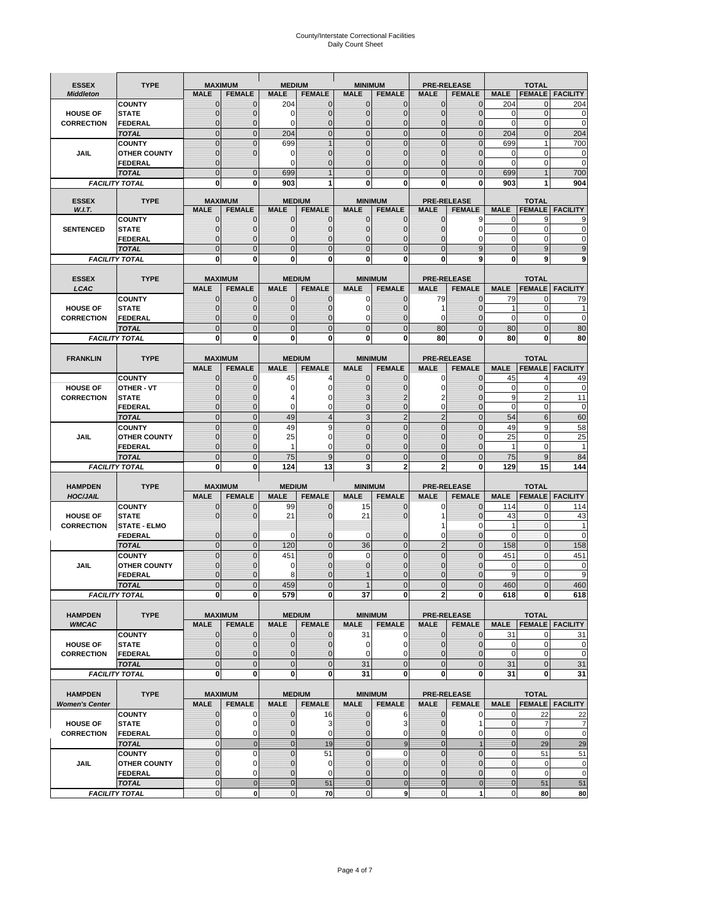# County/Interstate Correctional Facilities Daily Count Sheet

| <b>ESSEX</b>                            | <b>TYPE</b>                           |                                | <b>MAXIMUM</b>                   | <b>MEDIUM</b>                  |                                | <b>MINIMUM</b>                |                                 |                                  | <b>PRE-RELEASE</b>                  |                             | <b>TOTAL</b>                  |                          |
|-----------------------------------------|---------------------------------------|--------------------------------|----------------------------------|--------------------------------|--------------------------------|-------------------------------|---------------------------------|----------------------------------|-------------------------------------|-----------------------------|-------------------------------|--------------------------|
| <b>Middleton</b>                        |                                       | <b>MALE</b>                    | <b>FEMALE</b>                    | <b>MALE</b>                    | <b>FEMALE</b>                  | <b>MALE</b>                   | <b>FEMALE</b>                   | MALE                             | <b>FEMALE</b>                       | <b>MALE</b>                 | <b>FEMALE</b>                 | <b>FACILITY</b>          |
|                                         | <b>COUNTY</b>                         | 0                              | 0                                | 204                            | 0                              | $\mathbf 0$                   | $\mathbf{0}$                    | 0                                | $\Omega$                            | 204                         | $\mathbf 0$                   | 204                      |
| <b>HOUSE OF</b>                         | <b>STATE</b>                          | 0                              | $\mathbf 0$                      | $\Omega$                       | 0                              | $\mathbf{0}$                  | $\Omega$                        | $\mathbf 0$                      | $\Omega$                            | $\Omega$                    | $\Omega$                      | 0                        |
| <b>CORRECTION</b>                       | <b>FEDERAL</b>                        | 0                              | $\mathbf 0$                      | 0                              | 0                              | $\mathbf{0}$                  | $\mathbf 0$                     | $\mathbf{0}$                     | $\mathbf 0$                         | $\mathbf 0$                 | $\mathbf{0}$                  | $\mathbf 0$              |
|                                         | <b>TOTAL</b><br><b>COUNTY</b>         | $\overline{0}$<br>$\mathbf 0$  | $\overline{0}$<br>$\overline{0}$ | 204<br>699                     | $\mathbf 0$<br>1               | $\mathbf 0$<br>$\mathbf{0}$   | $\overline{0}$<br>$\Omega$      | $\mathbf 0$<br>$\mathbf 0$       | $\overline{0}$<br>$\Omega$          | 204<br>699                  | $\mathbf{0}$<br>1             | 204<br>700               |
| JAIL                                    | <b>OTHER COUNTY</b>                   | $\mathbf 0$                    | $\overline{0}$                   | 0                              | 0                              | $\mathbf{0}$                  | $\mathbf{0}$                    | $\mathbf 0$                      | ſ                                   | $\Omega$                    | $\mathbf 0$                   | 0                        |
|                                         | <b>FEDERAL</b>                        | $\mathbf{0}$                   |                                  | $\Omega$                       | $\Omega$                       | $\mathbf{0}$                  | $\Omega$                        | $\mathbf{0}$                     | 0                                   | $\Omega$                    | $\mathbf 0$                   | $\mathbf 0$              |
|                                         | <b>TOTAL</b>                          | $\overline{0}$                 | $\mathbf 0$                      | 699                            |                                | $\Omega$                      | $\Omega$                        | $\overline{0}$                   | $\Omega$                            | 699                         |                               | 700                      |
|                                         | <b>FACILITY TOTAL</b>                 | 0                              | 0                                | 903                            |                                | $\bf{0}$                      | 0                               | 0                                | 0                                   | 903                         |                               | 904                      |
|                                         |                                       |                                |                                  |                                |                                |                               |                                 |                                  |                                     |                             |                               |                          |
| <b>ESSEX</b><br>W.I.T.                  | <b>TYPE</b>                           | <b>MALE</b>                    | <b>MAXIMUM</b><br><b>FEMALE</b>  | <b>MALE</b>                    | <b>MEDIUM</b><br><b>FEMALE</b> | <b>MALE</b>                   | <b>MINIMUM</b><br><b>FEMALE</b> | <b>MALE</b>                      | <b>PRE-RELEASE</b><br><b>FEMALE</b> | <b>MALE</b>                 | <b>TOTAL</b><br><b>FEMALE</b> | <b>FACILITY</b>          |
|                                         | <b>COUNTY</b>                         | $\mathbf{0}$                   | 0                                | $\mathbf 0$                    | $\mathbf 0$                    | $\mathbf 0$                   | $\mathbf{0}$                    | $\mathbf 0$                      | 9                                   | 0                           | 9                             | 9                        |
| <b>SENTENCED</b>                        | <b>STATE</b>                          | 0                              | $\mathbf 0$                      | $\mathbf{0}$                   | $\overline{0}$                 | $\mathbf{0}$                  | $\mathbf{0}$                    | $\mathbf{0}$                     | $\Omega$                            | $\mathbf 0$                 | $\mathbf 0$                   | 0                        |
|                                         | <b>FEDERAL</b>                        | $\mathbf 0$                    | $\mathbf 0$                      | $\mathbf{0}$                   | 0                              | $\mathbf{0}$                  | 0                               | $\mathbf 0$                      | 0                                   | $\mathbf{0}$                | 0                             | 0                        |
|                                         | <b>TOTAL</b>                          | $\overline{0}$                 | $\overline{0}$                   | $\mathbf 0$                    | $\overline{0}$                 | $\mathbf{0}$                  | $\overline{0}$                  | $\overline{0}$                   | 9                                   | $\mathbf{0}$                | 9                             | 9                        |
|                                         | <b>FACILITY TOTAL</b>                 | 0                              | 0                                | $\bf{0}$                       | O                              | $\bf{0}$                      | $\mathbf{0}$                    | 0                                | 9                                   | $\bf{0}$                    | 9                             | 9                        |
|                                         |                                       |                                |                                  |                                |                                |                               |                                 |                                  |                                     |                             |                               |                          |
| <b>ESSEX</b><br>LCAC                    | <b>TYPE</b>                           | <b>MALE</b>                    | <b>MAXIMUM</b><br><b>FEMALE</b>  | <b>MALE</b>                    | <b>MEDIUM</b><br><b>FEMALE</b> | <b>MALE</b>                   | <b>MINIMUM</b><br><b>FEMALE</b> | <b>MALE</b>                      | <b>PRE-RELEASE</b><br><b>FEMALE</b> | <b>MALE</b>                 | <b>TOTAL</b>                  | <b>FEMALE</b>   FACILITY |
|                                         | <b>COUNTY</b>                         | 0                              | 0                                | $\mathbf{0}$                   | 0                              | 0                             | $\mathbf{0}$                    | 79                               | $\Omega$                            | 79                          | $\Omega$                      | 79                       |
| <b>HOUSE OF</b>                         | <b>STATE</b>                          | 0                              | $\overline{0}$                   | $\mathbf 0$                    | 0                              | $\mathbf 0$                   | $\Omega$                        | 1                                | $\sqrt{ }$                          | 1                           | $\mathbf 0$                   |                          |
| <b>CORRECTION</b>                       | FEDERAL                               | 0                              | 0                                | $\mathbf{0}$                   | 0                              | 0                             | $\Omega$                        | 0                                | $\mathbf 0$                         | $\mathbf 0$                 | $\mathbf 0$                   | $\mathbf 0$              |
|                                         | <b>TOTAL</b>                          | $\Omega$                       | $\overline{0}$                   | $\mathbf 0$                    | $\overline{0}$                 | $\mathbf{0}$                  | $\Omega$                        | 80                               | $\Omega$                            | 80                          | $\Omega$                      | 80                       |
|                                         | <b>FACILITY TOTAL</b>                 | 0                              | 0                                | 0                              | 0                              | $\bf{0}$                      | 0                               | 80                               | $\bf{0}$                            | 80                          | 0                             | 80                       |
|                                         |                                       |                                |                                  |                                |                                |                               |                                 |                                  |                                     |                             |                               |                          |
| <b>FRANKLIN</b>                         | <b>TYPE</b>                           |                                | <b>MAXIMUM</b>                   |                                | <b>MEDIUM</b>                  |                               | <b>MINIMUM</b>                  |                                  | <b>PRE-RELEASE</b>                  |                             | <b>TOTAL</b>                  |                          |
|                                         |                                       | <b>MALE</b>                    | <b>FEMALE</b>                    | <b>MALE</b>                    | <b>FEMALE</b>                  | <b>MALE</b>                   | <b>FEMALE</b>                   | <b>MALE</b>                      | <b>FEMALE</b>                       | <b>MALE</b>                 | <b>FEMALE</b>                 | <b>FACILITY</b>          |
| <b>HOUSE OF</b>                         | <b>COUNTY</b><br><b>OTHER - VT</b>    | $\mathbf{0}$<br>0              | 0<br>$\overline{0}$              | 45<br>0                        | 4<br>0                         | $\mathbf{0}$<br>$\mathbf{0}$  | 0<br>0                          | 0<br>$\mathbf 0$                 | $\Omega$<br>$\Omega$                | 45<br>$\mathbf 0$           | $\overline{4}$<br>$\mathbf 0$ | 49<br>$\mathbf 0$        |
| <b>CORRECTION</b>                       | <b>STATE</b>                          | $\Omega$                       | $\mathbf 0$                      | 4                              | 0                              | 3                             | 2                               | 2                                | $\sqrt{ }$                          | 9                           | $\overline{2}$                | 11                       |
|                                         | FEDERAL                               | $\mathbf{0}$                   | $\overline{0}$                   | $\mathbf 0$                    | 0                              | $\mathbf{0}$                  | $\mathbf{0}$                    | 0                                | $\overline{0}$                      | $\mathbf 0$                 | $\mathbf 0$                   | $\mathbf 0$              |
|                                         | <b>TOTAL</b>                          | $\overline{0}$                 | $\mathbf{0}$                     | 49                             | $\overline{4}$                 | 3                             | $\overline{2}$                  | $\overline{2}$                   | $\overline{0}$                      | 54                          | 6                             | 60                       |
|                                         | <b>COUNTY</b>                         | $\Omega$                       | $\overline{0}$                   | 49                             | 9                              | $\Omega$                      | $\Omega$                        | $\mathbf 0$                      | $\Omega$                            | 49                          | 9                             | 58                       |
| JAIL                                    | <b>OTHER COUNTY</b>                   | 0                              | $\overline{0}$                   | 25                             | 0                              | $\Omega$                      | $\Omega$                        | $\mathbf 0$                      | $\sqrt{ }$                          | 25                          | $\mathbf 0$                   | 25                       |
|                                         | <b>FEDERAL</b>                        | 0                              | 0                                | 1                              | 0                              | $\mathbf{0}$                  | $\mathbf 0$                     | $\mathbf{0}$                     | $\Omega$                            | 1                           | $\mathbf 0$                   | 1                        |
|                                         | <b>TOTAL</b><br><b>FACILITY TOTAL</b> | $\mathbf{0}$<br>0              | $\overline{0}$<br>0              | 75<br>124                      | 9<br>13                        | $\mathbf{0}$<br>3             | $\Omega$<br>$\overline{2}$      | $\overline{0}$<br>$\overline{2}$ | $\Omega$<br>0                       | 75<br>129                   | 9<br>15                       | 84<br>144                |
|                                         |                                       |                                |                                  |                                |                                |                               |                                 |                                  |                                     |                             |                               |                          |
| <b>HAMPDEN</b>                          | <b>TYPE</b>                           |                                | <b>MAXIMUM</b>                   | <b>MEDIUM</b>                  |                                | <b>MINIMUM</b>                |                                 |                                  | <b>PRE-RELEASE</b>                  |                             | <b>TOTAL</b>                  |                          |
| <b>HOC/JAIL</b>                         |                                       | <b>MALE</b>                    | <b>FEMALE</b>                    | <b>MALE</b>                    | <b>FEMALE</b>                  | <b>MALE</b>                   | <b>FEMALE</b>                   | <b>MALE</b>                      | <b>FEMALE</b>                       | <b>MALE</b>                 | <b>FEMALE</b>                 | <b>FACILITY</b>          |
|                                         | <b>COUNTY</b>                         | 0                              | 0                                | 99                             | 0                              | 15                            | 0                               | 0                                | $\mathbf 0$                         | 114                         | $\mathbf{0}$                  | 114                      |
| <b>HOUSE OF</b>                         | <b>STATE</b>                          | 0                              | $\overline{0}$                   | 21                             | 0                              | 21                            | $\Omega$                        | 1                                | $\Omega$                            | 43                          | $\Omega$                      | 43                       |
| <b>CORRECTION</b>                       | <b>STATE - ELMO</b>                   |                                |                                  |                                |                                |                               |                                 | 1                                | 0                                   | 1<br>$\Omega$               | $\mathbf{0}$<br>$\Omega$      | 1                        |
|                                         | <b>FEDERAL</b><br><b>TOTAL</b>        | $\mathbf{0}$<br>$\overline{0}$ | $\mathbf 0$<br>$\overline{0}$    | $\Omega$<br>120                | 0<br>$\overline{0}$            | 0<br>36                       | $\mathbf{0}$<br>$\overline{0}$  | 0<br>$\overline{2}$              | 0<br>$\Omega$                       | 158                         | $\Omega$                      | 0<br>158                 |
|                                         | <b>COUNTY</b>                         | $\overline{0}$                 | $\overline{0}$                   | 451                            | 0                              | $\mathbf 0$                   | $\overline{0}$                  | $\overline{0}$                   | $\overline{0}$                      | 451                         | $\mathbf{0}$                  | 451                      |
| <b>JAIL</b>                             | <b>OTHER COUNTY</b>                   | 0                              | $\mathbf 0$                      | 0                              | 0                              | $\mathbf{0}$                  | $\Omega$                        | $\mathbf 0$                      | $\sqrt{ }$                          | $\mathbf 0$                 | $\mathbf 0$                   | 0                        |
|                                         | <b>FEDERAL</b>                        | $\Omega$                       | $\mathbf 0$                      | 8                              | $\Omega$                       |                               | $\Omega$                        | $\mathbf 0$                      | $\Omega$                            | 9                           | $\Omega$                      | 9                        |
|                                         | <b>TOTAL</b>                          | $\overline{0}$                 | $\overline{0}$                   | 459                            | $\Omega$                       |                               | $\overline{0}$                  | $\overline{0}$                   | $\overline{0}$                      | 460                         | $\Omega$                      | 460                      |
|                                         | <b>FACILITY TOTAL</b>                 | $\mathbf{0}$                   | $\boldsymbol{0}$                 | 579                            | 0                              | 37                            | 0                               | 2                                | 0                                   | 618                         | $\mathbf{0}$                  | 618                      |
|                                         |                                       |                                |                                  |                                |                                |                               |                                 |                                  |                                     |                             |                               |                          |
| <b>HAMPDEN</b><br><b>WMCAC</b>          | <b>TYPE</b>                           | <b>MALE</b>                    | <b>MAXIMUM</b><br><b>FEMALE</b>  | <b>MALE</b>                    | <b>MEDIUM</b><br><b>FEMALE</b> | <b>MALE</b>                   | <b>MINIMUM</b><br><b>FEMALE</b> | <b>MALE</b>                      | <b>PRE-RELEASE</b><br><b>FEMALE</b> | <b>MALE</b>                 | <b>TOTAL</b>                  | <b>FEMALE</b> FACILITY   |
|                                         | <b>COUNTY</b>                         | $\mathbf 0$                    | $\mathbf{0}$                     | $\mathbf 0$                    | 0                              | 31                            | 0                               | $\mathbf 0$                      | $\mathbf 0$                         | 31                          | 0                             | 31                       |
| <b>HOUSE OF</b>                         | <b>STATE</b>                          | $\mathbf{0}$                   | $\mathbf{0}$                     | $\overline{0}$                 | 0                              | $\pmb{0}$                     | 0                               | $\mathbf{0}$                     | 0                                   | $\mathbf 0$                 | $\mathbf 0$                   | 0                        |
| <b>CORRECTION</b>                       | <b>FEDERAL</b>                        | $\mathbf{0}$                   | 0                                | $\overline{0}$                 | 0                              | $\mathbf 0$                   | $\Omega$                        | 0                                | 0                                   | $\mathbf 0$                 | $\mathbf 0$                   | $\mathbf 0$              |
|                                         | <b>TOTAL</b>                          | $\mathbf{0}$                   | $\overline{0}$                   | $\overline{0}$                 | $\overline{0}$                 | 31                            | $\mathbf{0}$                    | $\mathbf 0$                      | $\mathbf 0$                         | 31                          | $\mathbf{0}$                  | 31                       |
|                                         | <b>FACILITY TOTAL</b>                 | $\bf{0}$                       | 0                                | $\mathbf{0}$                   | 0                              | 31                            | 0                               | 0                                | $\bf{0}$                            | 31                          | 0                             | 31                       |
|                                         |                                       |                                |                                  |                                |                                |                               |                                 |                                  |                                     |                             |                               |                          |
| <b>HAMPDEN</b><br><b>Women's Center</b> | <b>TYPE</b>                           | <b>MALE</b>                    | <b>MAXIMUM</b><br><b>FEMALE</b>  | <b>MALE</b>                    | <b>MEDIUM</b><br><b>FEMALE</b> | <b>MALE</b>                   | <b>MINIMUM</b><br><b>FEMALE</b> | <b>MALE</b>                      | <b>PRE-RELEASE</b><br><b>FEMALE</b> | <b>MALE</b>                 | <b>TOTAL</b>                  | <b>FEMALE</b> FACILITY   |
|                                         | <b>COUNTY</b>                         | 0                              | 0                                | $\mathbf 0$                    | 16                             | $\mathbf 0$                   | 6                               | 0                                | 0                                   | 0                           | 22                            | 22                       |
| <b>HOUSE OF</b>                         | <b>STATE</b>                          | $\mathbf{0}$                   | $\mathbf 0$                      | $\mathbf{0}$                   | 3                              | $\mathbf{0}$                  | 3                               | $\mathbf 0$                      | 1                                   | $\mathbf 0$                 | $\overline{7}$                | $\overline{7}$           |
| <b>CORRECTION</b>                       | <b>FEDERAL</b>                        | 0                              | 0                                | 0                              | 0                              | $\mathbf{0}$                  | 0                               | $\mathbf{0}$                     | 0                                   | $\overline{0}$              | $\mathbf 0$                   | $\mathbf 0$              |
|                                         | <b>TOTAL</b>                          | 0                              | $\mathbf 0$                      | $\overline{0}$                 | 19                             | $\mathbf{0}$                  | $\boldsymbol{9}$                | $\mathbf{0}$                     |                                     | $\mathbf{0}$                | 29                            | 29                       |
|                                         | <b>COUNTY</b>                         | $\overline{0}$                 | $\mathbf 0$                      | $\mathbf{0}$                   | 51                             | $\mathbf{0}$                  | $\mathbf 0$                     | $\overline{0}$                   | $\overline{0}$                      | $\mathbf{0}$                | 51                            | 51                       |
| <b>JAIL</b>                             | <b>OTHER COUNTY</b>                   | 0                              | $\mathbf 0$                      | $\mathbf 0$                    | 0                              | $\mathbf 0$                   | $\mathbf{0}$                    | $\mathbf{0}$                     | $\Omega$                            | $\mathbf 0$                 | $\mathbf 0$                   | $\pmb{0}$                |
|                                         | <b>FEDERAL</b><br><b>TOTAL</b>        | $\mathbf 0$<br>$\mathbf 0$     | $\mathbf 0$<br>$\mathbf 0$       | $\mathbf{0}$<br>$\overline{0}$ | 0<br>51                        | $\mathbf 0$<br>$\overline{0}$ | $\mathbf{0}$<br>$\mathbf 0$     | $\mathbf 0$<br>$\mathbf{0}$      | $\overline{0}$<br>$\mathbf 0$       | $\mathbf 0$<br>$\mathbf{0}$ | $\mathbf 0$<br>51             | $\mathbf 0$<br>51        |
|                                         |                                       |                                |                                  |                                | $\mathbf{O}$<br>70             | $\mathbf{0}$                  | 9                               | $\mathbf 0$                      | 1                                   | $\overline{0}$              | 80                            | 80                       |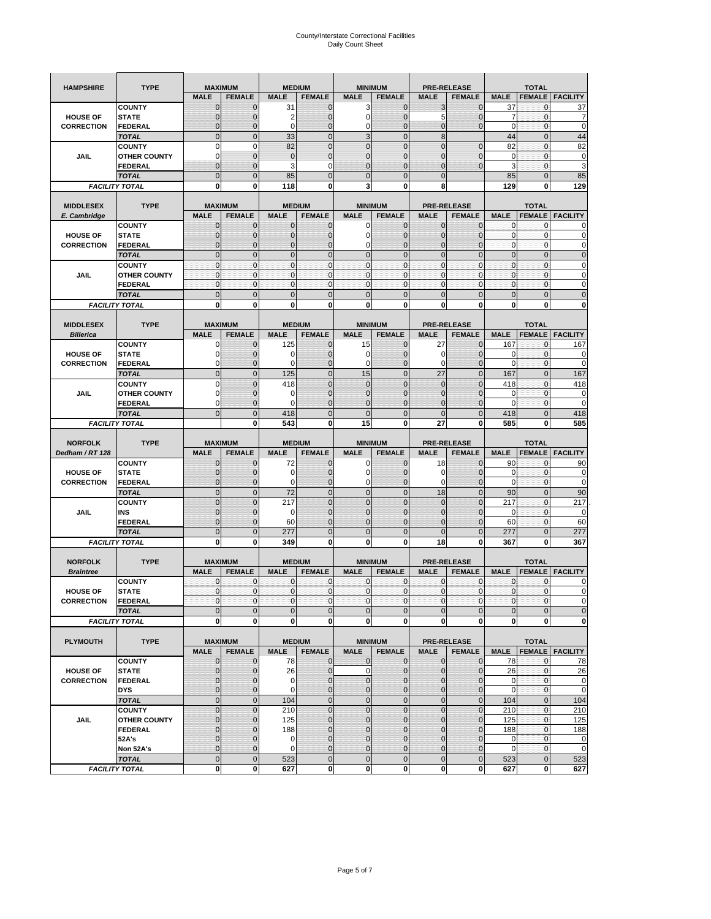| <b>TYPE</b><br><b>HAMPSHIRE</b>      |                         | <b>MAXIMUM</b>               |                                 | <b>MEDIUM</b>  |                                | <b>MINIMUM</b>              |                                 | <b>PRE-RELEASE</b> |                                     | <b>TOTAL</b>               |                               |                                                        |
|--------------------------------------|-------------------------|------------------------------|---------------------------------|----------------|--------------------------------|-----------------------------|---------------------------------|--------------------|-------------------------------------|----------------------------|-------------------------------|--------------------------------------------------------|
|                                      |                         | <b>MALE</b>                  | <b>FEMALE</b>                   | <b>MALE</b>    | <b>FEMALE</b>                  | <b>MALE</b>                 | <b>FEMALE</b>                   | <b>MALE</b>        | <b>FEMALE</b>                       | <b>MALE</b>                | <b>FEMALE</b>                 | <b>FACILITY</b>                                        |
|                                      | <b>COUNTY</b>           | $\mathbf 0$                  | $\mathbf 0$                     | 31             | $\mathbf 0$                    | 3                           | $\mathbf 0$                     | 3                  | $\mathbf 0$                         | 37                         | $\mathbf{0}$                  | 37                                                     |
| <b>HOUSE OF</b>                      | <b>STATE</b>            | $\mathbf{0}$                 | $\overline{0}$                  | 2              | $\mathbf 0$                    | $\mathbf 0$                 | $\overline{0}$                  | 5                  | $\overline{0}$                      | $\overline{7}$             | $\mathbf 0$                   | 7                                                      |
| <b>CORRECTION</b>                    | <b>FEDERAL</b>          | $\mathbf 0$                  | 0                               | $\mathbf 0$    | $\mathbf 0$                    | 0                           | $\overline{0}$                  | 0                  | $\overline{0}$                      | $\mathbf 0$                | 0                             | $\mathbf 0$                                            |
|                                      | <b>TOTAL</b>            | $\mathbf{0}$                 | $\overline{0}$                  | 33             | $\mathbf{0}$                   | 3                           | $\mathbf{0}$                    | 8                  |                                     | 44                         | $\mathbf{0}$                  | 44                                                     |
|                                      | <b>COUNTY</b>           | $\mathbf 0$                  | $\mathbf 0$                     | 82             | $\overline{0}$                 | $\overline{0}$              | $\overline{0}$                  | $\overline{0}$     | $\overline{0}$                      | 82                         | $\mathbf{0}$                  | 82                                                     |
| JAIL                                 | <b>OTHER COUNTY</b>     | $\Omega$                     | $\mathbf{0}$                    | $\mathbf 0$    | $\mathbf 0$                    | $\mathbf{0}$                | $\mathbf 0$                     | 0                  | $\mathbf 0$                         | 0                          | $\mathbf 0$                   | 0                                                      |
|                                      | FEDERAL                 | $\mathbf{0}$                 | $\overline{0}$                  | 3              | 0                              | $\overline{0}$              | $\mathbf{0}$                    | $\overline{0}$     | $\mathbf 0$                         | 3                          | $\mathbf{0}$                  | 3                                                      |
|                                      | <b>TOTAL</b>            | $\mathbf{0}$                 | $\mathbf 0$                     | 85             | $\mathbf 0$                    | $\mathbf 0$                 | $\mathbf 0$                     | $\mathbf{0}$       |                                     | 85                         | $\mathbf 0$                   | 85                                                     |
|                                      | <b>FACILITY TOTAL</b>   | 0                            | 0                               | 118            | $\bf{0}$                       | 3                           | 0                               | 8                  |                                     | 129                        | 0                             | 129                                                    |
|                                      |                         |                              |                                 |                |                                |                             |                                 |                    |                                     |                            |                               |                                                        |
| <b>MIDDLESEX</b>                     | <b>TYPE</b>             |                              | <b>MAXIMUM</b>                  |                | <b>MEDIUM</b>                  |                             | <b>MINIMUM</b>                  |                    | <b>PRE-RELEASE</b>                  |                            | <b>TOTAL</b>                  |                                                        |
| E. Cambridge                         |                         | <b>MALE</b>                  | <b>FEMALE</b>                   | <b>MALE</b>    | <b>FEMALE</b>                  | <b>MALE</b>                 | <b>FEMALE</b>                   | <b>MALE</b>        | <b>FEMALE</b>                       | <b>MALE</b>                | <b>FEMALE</b>                 | <b>FACILITY</b>                                        |
|                                      | <b>COUNTY</b>           | $\mathbf 0$                  | 0                               | 0              | 0                              | 0                           | $\mathbf{0}$                    | 0                  | 0                                   | 0                          | 0                             | 0                                                      |
| <b>HOUSE OF</b>                      | <b>STATE</b>            | $\mathbf{0}$                 | $\mathbf 0$                     | $\mathbf 0$    | $\mathbf 0$                    | $\mathbf 0$                 | $\mathbf 0$                     | 0                  | $\overline{0}$                      | $\pmb{0}$                  | $\mathbf 0$                   | 0                                                      |
| <b>CORRECTION</b>                    | <b>FEDERAL</b>          | $\mathbf 0$                  | $\mathbf{0}$                    | $\mathbf 0$    | $\mathbf 0$                    | 0                           | $\mathbf 0$                     | 0                  | $\mathbf 0$                         | $\mathbf{0}$               | $\mathbf 0$                   | 0                                                      |
|                                      | <b>TOTAL</b>            | $\Omega$                     | $\mathbf 0$                     | $\mathbf{0}$   | $\Omega$                       | $\overline{0}$              | $\Omega$                        | $\mathbf{0}$       | $\overline{0}$                      | $\pmb{0}$                  | $\mathbf{0}$                  | $\mathbf 0$                                            |
|                                      | <b>COUNTY</b>           | $\mathbf{0}$                 | $\mathbf{0}$                    | $\mathbf{0}$   | $\mathbf{0}$                   | $\mathbf{0}$                | $\mathbf{0}$                    | $\mathbf{0}$       | $\mathbf 0$                         | $\mathbf{0}$               | $\mathbf{0}$                  | 0                                                      |
| JAIL                                 | <b>OTHER COUNTY</b>     | $\mathbf{0}$                 | 0                               | $\mathbf 0$    | 0                              | $\mathbf{0}$                | $\overline{0}$                  | $\mathbf{0}$       | 0                                   | $\pmb{0}$                  | 0                             | 0                                                      |
|                                      | <b>FEDERAL</b>          | $\mathbf{0}$                 | $\mathbf{0}$                    | $\mathbf 0$    | $\mathbf 0$                    | $\mathbf 0$                 | $\overline{0}$                  | $\mathbf{0}$       | $\mathbf 0$                         | $\mathbf{0}$               | $\mathbf{0}$                  | 0                                                      |
|                                      | <b>TOTAL</b>            | $\mathbf{0}$                 | $\overline{0}$                  | $\overline{0}$ | $\overline{0}$                 | $\overline{0}$              | $\overline{0}$                  | $\overline{0}$     | $\overline{0}$                      | $\mathbf{0}$               | $\overline{0}$                | $\overline{0}$                                         |
|                                      | <b>FACILITY TOTAL</b>   | 0                            | 0                               | 0              | 0                              | 0                           | 0                               | 0                  | 0                                   | 0                          | 0                             | O                                                      |
|                                      | <b>TYPE</b>             |                              |                                 |                | <b>MEDIUM</b>                  |                             | <b>MINIMUM</b>                  |                    | <b>PRE-RELEASE</b>                  |                            |                               |                                                        |
| <b>MIDDLESEX</b><br><b>Billerica</b> |                         | <b>MALE</b>                  | <b>MAXIMUM</b><br><b>FEMALE</b> | <b>MALE</b>    | <b>FEMALE</b>                  | <b>MALE</b>                 | <b>FEMALE</b>                   | <b>MALE</b>        | <b>FEMALE</b>                       | <b>MALE</b>                | <b>TOTAL</b><br><b>FEMALE</b> | <b>FACILITY</b>                                        |
|                                      | <b>COUNTY</b>           | 0                            | $\mathbf 0$                     | 125            |                                | 15                          | $\mathbf{0}$                    | 27                 | 0                                   | 167                        | 0                             | 167                                                    |
| <b>HOUSE OF</b>                      | <b>STATE</b>            | 0                            | $\mathbf 0$                     | 0              | 0<br>$\mathbf 0$               | 0                           | $\Omega$                        | 0                  | $\mathbf 0$                         | 0                          | 0                             | 0                                                      |
| <b>CORRECTION</b>                    | <b>FEDERAL</b>          | 0                            | $\mathbf{0}$                    | 0              | 0                              | 0                           | $\mathbf{0}$                    | 0                  | $\mathbf 0$                         | 0                          | 0                             | 0                                                      |
|                                      | <b>TOTAL</b>            | $\mathbf{0}$                 | $\mathbf 0$                     | 125            | $\mathbf 0$                    | 15                          | $\overline{0}$                  | 27                 | $\overline{0}$                      | 167                        | $\mathbf{0}$                  | 167                                                    |
|                                      | <b>COUNTY</b>           | $\Omega$                     | $\overline{0}$                  | 418            | $\Omega$                       | $\overline{0}$              | $\Omega$                        | $\overline{0}$     | $\Omega$                            | 418                        | $\mathbf 0$                   | 418                                                    |
| JAIL                                 | <b>OTHER COUNTY</b>     | 0                            | 0                               | 0              | $\mathbf{0}$                   | $\mathbf{0}$                | $\mathbf{0}$                    | $\mathbf{0}$       | $\overline{0}$                      | 0                          | 0                             | 0                                                      |
|                                      | <b>FEDERAL</b>          | $\Omega$                     | $\mathbf 0$                     | $\Omega$       | $\mathbf 0$                    | $\mathbf 0$                 | $\mathbf 0$                     | 0                  | $\mathbf 0$                         | $\Omega$                   | $\mathbf 0$                   | 0                                                      |
|                                      | <b>TOTAL</b>            | $\mathbf 0$                  | $\overline{0}$                  | 418            | $\overline{0}$                 | $\overline{0}$              | $\overline{0}$                  | $\overline{0}$     | $\overline{0}$                      | 418                        | $\overline{0}$                | 418                                                    |
|                                      | <b>FACILITY TOTAL</b>   |                              | 0                               | 543            | 0                              | 15                          | $\mathbf 0$                     | 27                 | 0                                   | 585                        | 0                             | 585                                                    |
|                                      |                         |                              |                                 |                |                                |                             |                                 |                    |                                     |                            |                               |                                                        |
|                                      |                         |                              |                                 |                |                                |                             |                                 |                    |                                     |                            |                               |                                                        |
|                                      | <b>TYPE</b>             |                              |                                 |                |                                |                             |                                 |                    |                                     |                            |                               |                                                        |
| <b>NORFOLK</b><br>Dedham / RT 128    |                         | <b>MALE</b>                  | <b>MAXIMUM</b><br><b>FEMALE</b> | <b>MALE</b>    | <b>MEDIUM</b><br><b>FEMALE</b> | <b>MALE</b>                 | <b>MINIMUM</b><br><b>FEMALE</b> | <b>MALE</b>        | <b>PRE-RELEASE</b><br><b>FEMALE</b> | <b>MALE</b>                | <b>TOTAL</b><br><b>FEMALE</b> | <b>FACILITY</b>                                        |
|                                      | <b>COUNTY</b>           | 0                            | $\mathbf 0$                     | 72             | 0                              | 0                           | $\mathbf{0}$                    | 18                 | 0                                   | 90                         | 0                             | 90                                                     |
| <b>HOUSE OF</b>                      | <b>STATE</b>            | $\mathbf{0}$                 | $\mathbf 0$                     | 0              | $\mathbf{0}$                   | 0                           | 0                               | 0                  | $\mathbf 0$                         | 0                          | $\mathbf 0$                   | 0                                                      |
| <b>CORRECTION</b>                    | FEDERAL                 | $\mathbf{0}$                 | 0                               | 0              | 0                              | 0                           | $\overline{0}$                  | 0                  | 0                                   | $\mathbf 0$                | $\mathbf{0}$                  | 0                                                      |
|                                      | <b>TOTAL</b>            | $\pmb{0}$                    | $\mathbf 0$                     | 72             | $\mathbf 0$                    | $\mathbf 0$                 | $\overline{0}$                  | 18                 | $\mathbf 0$                         | 90                         | $\mathbf 0$                   | 90                                                     |
|                                      | <b>COUNTY</b>           | $\Omega$                     | $\overline{0}$                  | 217            | $\overline{0}$                 | $\overline{0}$              | $\Omega$                        | $\mathbf 0$        | $\overline{0}$                      | 217                        | 0                             | 217                                                    |
| JAIL                                 | INS                     | $\mathbf{0}$                 | 0                               | 0              | $\mathbf{0}$                   | $\mathbf{0}$                | $\mathbf{0}$                    | 0                  | $\mathbf 0$                         | 0                          | 0                             | 0                                                      |
|                                      | <b>FEDERAL</b>          | $\mathbf{0}$                 | $\mathbf 0$                     | 60             | $\mathbf 0$                    | $\overline{0}$              | $\Omega$                        | $\mathbf 0$        | $\mathbf 0$                         | 60                         | $\mathbf 0$                   | 60                                                     |
|                                      | <b>TOTAL</b>            | $\mathbf 0$                  | $\overline{0}$                  | 277            | $\overline{0}$                 | $\overline{0}$              | $\overline{0}$                  | $\overline{0}$     | $\overline{0}$                      | 277                        | $\mathbf{0}$                  | 277                                                    |
|                                      | <b>FACILITY TOTAL</b>   | 0                            | 0                               | 349            | 0                              | 0                           | 0                               | 18                 | 0                                   | 367                        | 0                             | 367                                                    |
|                                      |                         |                              |                                 |                |                                |                             |                                 |                    |                                     |                            |                               |                                                        |
| <b>NORFOLK</b>                       | <b>TYPE</b>             |                              | <b>MAXIMUM</b>                  |                | <b>MEDIUM</b>                  |                             | <b>MINIMUM</b>                  |                    | <b>PRE-RELEASE</b>                  |                            | <b>TOTAL</b>                  |                                                        |
| <b>Braintree</b>                     |                         | <b>MALE</b>                  | <b>FEMALE</b>                   | <b>MALE</b>    | <b>FEMALE</b>                  | <b>MALE</b>                 | <b>FEMALE</b>                   | <b>MALE</b>        | <b>FEMALE</b>                       | <b>MALE</b>                | <b>FEMALE</b>                 | <b>FACILITY</b>                                        |
|                                      | <b>COUNTY</b>           | $\mathbf{0}$                 | $\mathbf{0}$                    | $\mathbf 0$    | 0                              | 0                           | $\mathbf{0}$                    | 0                  | $\mathbf 0$                         | $\mathbf 0$                | 0                             | 0                                                      |
| <b>HOUSE OF</b>                      | <b>STATE</b>            | $\Omega$                     | $\Omega$                        | $\Omega$       | $\overline{0}$                 | $\Omega$                    | $\Omega$                        | $\mathbf{0}$       | $\Omega$                            | $\Omega$                   | $\Omega$                      |                                                        |
| <b>CORRECTION</b>                    | FEDERAL                 | $\mathbf 0$                  | 0                               | $\mathbf 0$    | $\mathbf 0$                    | $\mathbf 0$                 | $\overline{0}$                  | $\mathbf 0$        | $\mathbf 0$                         | $\overline{0}$             | $\mathbf 0$                   | $\Omega$<br>$\mathbf 0$                                |
|                                      | <b>TOTAL</b>            | $\mathbf 0$                  | $\overline{0}$                  | $\mathbf{0}$   | $\mathbf 0$                    | $\mathbf 0$                 | $\mathbf 0$                     | $\mathbf 0$        | $\mathbf 0$                         | $\mathbf 0$                | $\pmb{0}$                     |                                                        |
|                                      | <b>FACILITY TOTAL</b>   | $\mathbf 0$                  | 0                               | $\mathbf{0}$   | 0                              | $\mathbf 0$                 | <sub>0</sub>                    | 0                  | 0                                   | $\mathbf{0}$               | $\mathbf 0$                   |                                                        |
|                                      |                         |                              |                                 |                |                                |                             |                                 |                    |                                     |                            |                               |                                                        |
| <b>PLYMOUTH</b>                      | <b>TYPE</b>             |                              | <b>MAXIMUM</b>                  |                | <b>MEDIUM</b>                  |                             | <b>MINIMUM</b>                  |                    | <b>PRE-RELEASE</b>                  |                            | <b>TOTAL</b>                  | $\mathbf 0$<br>0                                       |
|                                      |                         | <b>MALE</b>                  | <b>FEMALE</b>                   | <b>MALE</b>    | <b>FEMALE</b>                  | <b>MALE</b>                 | <b>FEMALE</b>                   | <b>MALE</b>        | <b>FEMALE</b>                       | <b>MALE</b>                |                               | <b>FEMALE</b>   FACILITY                               |
|                                      | <b>COUNTY</b>           | $\mathbf{0}$                 | 0                               | 78             | $\mathbf{0}$                   | 0                           | $\mathbf{0}$                    | $\mathbf 0$        | 0                                   | 78                         | $\mathbf 0$                   | 78                                                     |
| <b>HOUSE OF</b>                      | <b>STATE</b>            | $\mathbf{0}$                 | $\mathbf 0$                     | 26             | $\mathbf 0$                    | $\pmb{0}$                   | $\mathbf{0}$                    | $\mathbf{0}$       | $\overline{0}$                      | 26                         | $\mathbf 0$                   |                                                        |
| <b>CORRECTION</b>                    | <b>FEDERAL</b>          | $\mathbf 0$<br>$\mathbf{0}$  | $\mathbf 0$                     | 0<br>0         | $\pmb{0}$<br>$\mathbf{0}$      | $\mathbf 0$                 | $\mathbf{0}$<br>$\mathbf{0}$    | 0                  | $\mathbf 0$<br>$\overline{0}$       | $\mathbf 0$<br>$\mathbf 0$ | $\mathbf 0$<br>$\mathbf{0}$   |                                                        |
|                                      | <b>DYS</b>              |                              | $\mathbf{0}$                    |                |                                | $\mathbf 0$                 |                                 | $\mathbf 0$        |                                     |                            |                               |                                                        |
|                                      | <b>TOTAL</b>            | $\mathbf 0$                  | $\mathbf 0$                     | 104            | $\mathbf 0$                    | $\mathbf 0$                 | $\mathbf 0$                     | $\mathbf 0$        | $\pmb{0}$                           | 104                        | $\mathbf{0}$                  | 26<br>$\boldsymbol{0}$<br>$\mathbf 0$<br>104           |
|                                      | <b>COUNTY</b>           | $\mathbf{0}$                 | $\mathbf 0$                     | 210            | $\mathbf 0$                    | $\mathbf 0$                 | $\overline{0}$                  | $\mathbf 0$        | $\mathbf 0$                         | 210                        | $\mathbf 0$                   |                                                        |
| JAIL                                 | <b>OTHER COUNTY</b>     | $\mathbf{0}$<br>$\mathbf{0}$ | $\mathbf{0}$                    | 125            | $\mathbf 0$                    | $\mathbf 0$                 | $\mathbf{0}$<br>$\overline{0}$  | 0                  | $\mathbf 0$<br>$\overline{0}$       | 125                        | $\mathbf 0$                   |                                                        |
|                                      | <b>FEDERAL</b><br>52A's | $\mathbf{0}$                 | $\mathbf{0}$<br>$\mathbf{0}$    | 188<br>0       | 0<br>$\mathbf{0}$              | $\mathbf 0$<br>$\mathbf{0}$ | $\overline{0}$                  | $\mathbf 0$<br>0   | $\mathbf 0$                         | 188<br>$\mathbf 0$         | $\mathbf 0$<br>$\mathbf{0}$   |                                                        |
|                                      | Non 52A's               | $\mathbf{0}$                 | $\mathbf{0}$                    | $\mathbf 0$    | $\mathbf{0}$                   | $\mathbf 0$                 | $\overline{0}$                  | $\mathbf 0$        | 0                                   | $\mathbf{0}$               | $\mathbf 0$                   |                                                        |
|                                      | <b>TOTAL</b>            | $\mathbf 0$                  | $\mathbf 0$                     | 523            | $\mathbf 0$                    | $\mathbf 0$                 | $\mathbf{0}$                    | $\mathbf 0$        | $\pmb{0}$                           | 523                        | $\mathbf 0$                   | 210<br>125<br>188<br>$\mathbf 0$<br>$\mathbf 0$<br>523 |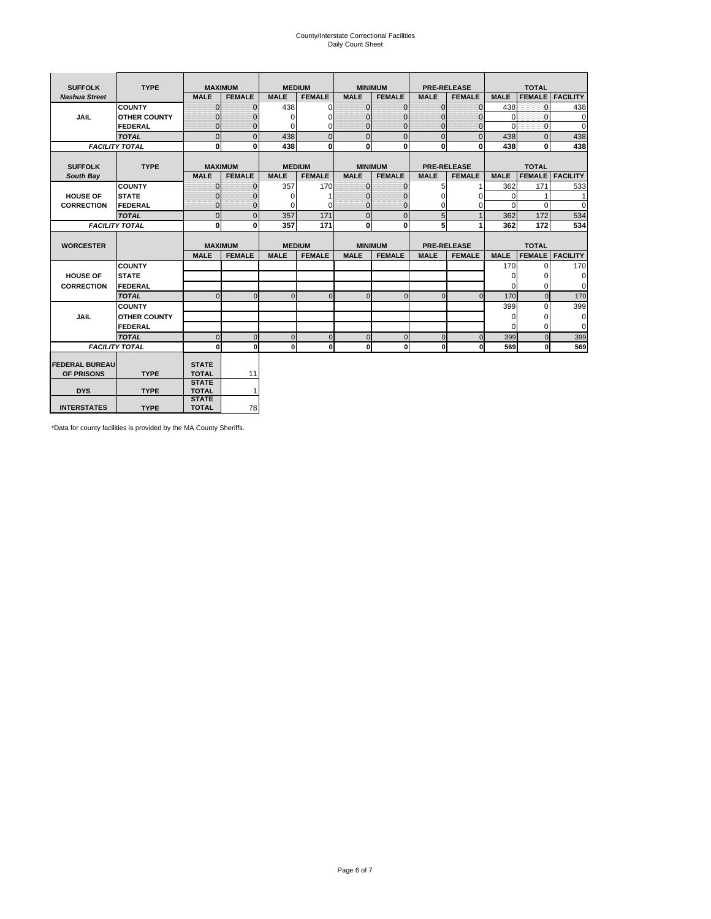# County/Interstate Correctional Facilities Daily Count Sheet

| <b>SUFFOLK</b>        | <b>TYPE</b>           | <b>MAXIMUM</b>               |                | <b>MEDIUM</b> |                | <b>MINIMUM</b> |                | <b>PRE-RELEASE</b> |                    | <b>TOTAL</b> |               |                 |
|-----------------------|-----------------------|------------------------------|----------------|---------------|----------------|----------------|----------------|--------------------|--------------------|--------------|---------------|-----------------|
| <b>Nashua Street</b>  |                       | <b>MALE</b>                  | <b>FEMALE</b>  | <b>MALE</b>   | <b>FEMALE</b>  | <b>MALE</b>    | <b>FEMALE</b>  | <b>MALE</b>        | <b>FEMALE</b>      | <b>MALE</b>  | <b>FEMALE</b> | <b>FACILITY</b> |
|                       | <b>COUNTY</b>         | $\Omega$                     | $\mathbf{0}$   | 438           | $\Omega$       | $\mathbf{0}$   | $\Omega$       | $\Omega$           | $\Omega$           | 438          | $\Omega$      | 438             |
| <b>JAIL</b>           | <b>OTHER COUNTY</b>   | $\Omega$                     | 0              | $\Omega$      | 0              | $\mathbf{0}$   | $\Omega$       | $\Omega$           | $\Omega$           | $\Omega$     | $\Omega$      | $\mathbf 0$     |
|                       | <b>FEDERAL</b>        | $\Omega$                     | $\Omega$       | 0             | $\Omega$       | $\mathbf{0}$   | $\Omega$       | $\Omega$           | $\Omega$           | $\Omega$     | $\Omega$      | $\Omega$        |
|                       | <b>TOTAL</b>          | $\Omega$                     | $\mathbf 0$    | 438           | $\overline{0}$ | $\mathbf{0}$   | $\mathbf{0}$   | $\mathbf{0}$       | $\Omega$           | 438          | $\Omega$      | 438             |
|                       | <b>FACILITY TOTAL</b> | 0                            | 0              | 438           | $\bf{0}$       | $\mathbf{0}$   | 0              | $\mathbf{0}$       | $\Omega$           | 438          | 0             | 438             |
|                       |                       |                              |                |               |                |                |                |                    |                    |              |               |                 |
| <b>SUFFOLK</b>        | <b>TYPE</b>           | <b>MAXIMUM</b>               |                | <b>MEDIUM</b> |                |                | <b>MINIMUM</b> |                    | <b>PRE-RELEASE</b> |              | <b>TOTAL</b>  |                 |
| South Bay             |                       | <b>MALE</b>                  | <b>FEMALE</b>  | <b>MALE</b>   | <b>FEMALE</b>  | <b>MALE</b>    | <b>FEMALE</b>  | <b>MALE</b>        | <b>FEMALE</b>      | <b>MALE</b>  | <b>FEMALE</b> | <b>FACILITY</b> |
|                       | <b>COUNTY</b>         | $\Omega$                     | $\mathbf{0}$   | 357           | 170            | $\mathbf{0}$   | $\mathbf{0}$   | 5                  |                    | 362          | 171           | 533             |
| <b>HOUSE OF</b>       | <b>STATE</b>          |                              | $\mathbf{0}$   | $\Omega$      |                | $\Omega$       | O              | $\Omega$           | $\Omega$           | $\Omega$     |               | 1               |
| <b>CORRECTION</b>     | <b>FEDERAL</b>        | $\Omega$                     | $\mathbf{0}$   | $\Omega$      | $\Omega$       | $\mathbf{0}$   | $\mathbf{0}$   | $\Omega$           | 0                  | $\Omega$     | $\Omega$      | $\Omega$        |
|                       | <b>TOTAL</b>          | $\Omega$                     | $\overline{0}$ | 357           | 171            | $\mathbf 0$    | $\mathbf{0}$   | 5                  | $\mathbf{1}$       | 362          | 172           | 534             |
|                       | <b>FACILITY TOTAL</b> | 0                            | 0              | 357           | 171            | <sub>0</sub>   | $\bf{0}$       | 5                  | 1                  | 362          | 172           | 534             |
|                       |                       |                              |                |               |                |                |                |                    |                    |              |               |                 |
| <b>WORCESTER</b>      |                       | <b>MAXIMUM</b>               |                | <b>MEDIUM</b> |                |                | <b>MINIMUM</b> |                    | <b>PRE-RELEASE</b> |              | <b>TOTAL</b>  |                 |
|                       |                       | <b>MALE</b>                  | <b>FEMALE</b>  | <b>MALE</b>   | <b>FEMALE</b>  | <b>MALE</b>    | <b>FEMALE</b>  | <b>MALE</b>        | <b>FEMALE</b>      | <b>MALE</b>  | <b>FEMALE</b> | <b>FACILITY</b> |
|                       | <b>COUNTY</b>         |                              |                |               |                |                |                |                    |                    | 170          | $\Omega$      | 170             |
| <b>HOUSE OF</b>       | <b>STATE</b>          |                              |                |               |                |                |                |                    |                    | $\Omega$     | 0             | 0               |
| <b>CORRECTION</b>     | <b>FEDERAL</b>        |                              |                |               |                |                |                |                    |                    | $\Omega$     | $\Omega$      | $\Omega$        |
|                       | <b>TOTAL</b>          | U                            | $\Omega$       | $\Omega$      | $\mathbf 0$    | $\Omega$       | $\Omega$       | $\Omega$           | $\Omega$           | 170          | $\Omega$      | 170             |
|                       | <b>COUNTY</b>         |                              |                |               |                |                |                |                    |                    | 399          | $\Omega$      | 399             |
| <b>JAIL</b>           | <b>OTHER COUNTY</b>   |                              |                |               |                |                |                |                    |                    | 0            | 0             | 0               |
|                       | FEDERAL               |                              |                |               |                |                |                |                    |                    | $\Omega$     | $\Omega$      | $\Omega$        |
|                       | <b>TOTAL</b>          | $\cap$                       | $\Omega$       | $\Omega$      | $\mathbf{0}$   | $\mathbf{0}$   | $\mathbf{0}$   | $\overline{0}$     | $\Omega$           | 399          | $\Omega$      | 399             |
|                       | <b>FACILITY TOTAL</b> | $\Omega$                     | $\mathbf 0$    | $\Omega$      | 0              | 0              | $\mathbf{0}$   | $\mathbf 0$        | 0                  | 569          | O             | 569             |
|                       |                       |                              |                |               |                |                |                |                    |                    |              |               |                 |
| <b>FEDERAL BUREAU</b> |                       | <b>STATE</b>                 |                |               |                |                |                |                    |                    |              |               |                 |
| OF PRISONS            | <b>TYPE</b>           | <b>TOTAL</b><br><b>STATE</b> | 11             |               |                |                |                |                    |                    |              |               |                 |
| <b>DYS</b>            | <b>TYPE</b>           | <b>TOTAL</b>                 | $\mathbf{1}$   |               |                |                |                |                    |                    |              |               |                 |
|                       |                       | <b>STATE</b>                 |                |               |                |                |                |                    |                    |              |               |                 |
| <b>INTERSTATES</b>    | <b>TYPE</b>           | <b>TOTAL</b>                 | 78             |               |                |                |                |                    |                    |              |               |                 |

\*Data for county facilities is provided by the MA County Sheriffs.